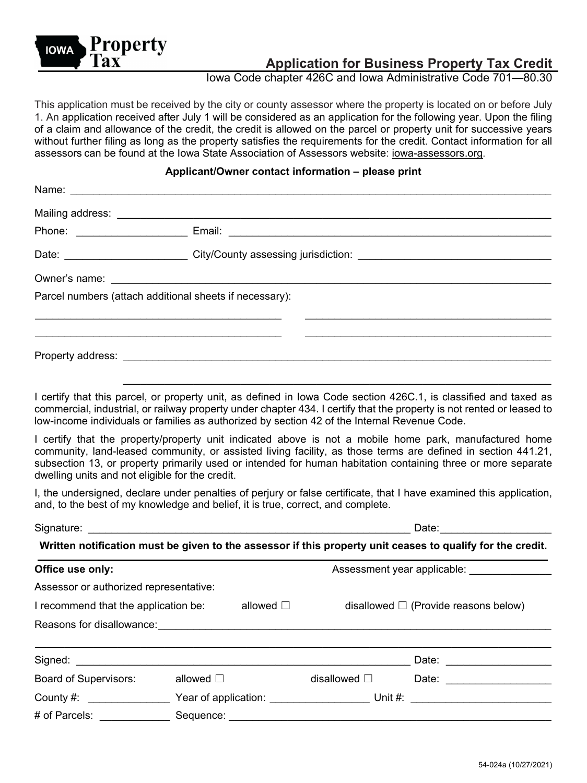

# **Application for Business Property Tax Credit**

Iowa Code chapter 426C and Iowa Administrative Code 701—80.30

This application must be received by the city or county assessor where the property is located on or before July 1. An application received after July 1 will be considered as an application for the following year. Upon the filing of a claim and allowance of the credit, the credit is allowed on the parcel or property unit for successive years without further filing as long as the property satisfies the requirements for the credit. Contact information for all assessors can be found at the Iowa State Association of Assessors website: [iowa-assessors.org](http://www.iowa-assessors.org/).

#### **Applicant/Owner contact information – please print**

| Phone: ______________________ |                                                                                                                                                                                                                                      |  |  |  |
|-------------------------------|--------------------------------------------------------------------------------------------------------------------------------------------------------------------------------------------------------------------------------------|--|--|--|
|                               | Date: ___________________________City/County assessing jurisdiction: _______________________________                                                                                                                                 |  |  |  |
|                               | Owner's name: <u>example and a series of the series of the series of the series of the series of the series of the series of the series of the series of the series of the series of the series of the series of the series of t</u> |  |  |  |
|                               | Parcel numbers (attach additional sheets if necessary):                                                                                                                                                                              |  |  |  |
|                               |                                                                                                                                                                                                                                      |  |  |  |
|                               |                                                                                                                                                                                                                                      |  |  |  |
|                               |                                                                                                                                                                                                                                      |  |  |  |

I certify that this parcel, or property unit, as defined in Iowa Code section 426C.1, is classified and taxed as commercial, industrial, or railway property under chapter 434. I certify that the property is not rented or leased to low-income individuals or families as authorized by section 42 of the Internal Revenue Code.

I certify that the property/property unit indicated above is not a mobile home park, manufactured home community, land-leased community, or assisted living facility, as those terms are defined in section 441.21, subsection 13, or property primarily used or intended for human habitation containing three or more separate dwelling units and not eligible for the credit.

I, the undersigned, declare under penalties of perjury or false certificate, that I have examined this application, and, to the best of my knowledge and belief, it is true, correct, and complete.

|                                                                                                                                                                                                                                |                   |                                                                                                            | Date: <u>_____________</u>                |                                                                                                                                                                                                                                |  |
|--------------------------------------------------------------------------------------------------------------------------------------------------------------------------------------------------------------------------------|-------------------|------------------------------------------------------------------------------------------------------------|-------------------------------------------|--------------------------------------------------------------------------------------------------------------------------------------------------------------------------------------------------------------------------------|--|
|                                                                                                                                                                                                                                |                   | Written notification must be given to the assessor if this property unit ceases to qualify for the credit. |                                           |                                                                                                                                                                                                                                |  |
| Office use only:                                                                                                                                                                                                               |                   |                                                                                                            |                                           |                                                                                                                                                                                                                                |  |
| Assessor or authorized representative:                                                                                                                                                                                         |                   |                                                                                                            |                                           |                                                                                                                                                                                                                                |  |
| I recommend that the application be: $\Box$ allowed $\Box$                                                                                                                                                                     |                   |                                                                                                            | disallowed $\Box$ (Provide reasons below) |                                                                                                                                                                                                                                |  |
| Reasons for disallowance: with the contract of the contract of the contract of the contract of the contract of                                                                                                                 |                   |                                                                                                            |                                           |                                                                                                                                                                                                                                |  |
|                                                                                                                                                                                                                                |                   |                                                                                                            |                                           | Date: <u>_____________</u>                                                                                                                                                                                                     |  |
| Board of Supervisors:                                                                                                                                                                                                          | allowed $\square$ | disallowed $\square$                                                                                       |                                           | Date: the contract of the contract of the contract of the contract of the contract of the contract of the contract of the contract of the contract of the contract of the contract of the contract of the contract of the cont |  |
| County #: $\sqrt{2\pi}$                                                                                                                                                                                                        |                   |                                                                                                            |                                           |                                                                                                                                                                                                                                |  |
| # of Parcels: The Second Second Second Second Second Second Second Second Second Second Second Second Second Second Second Second Second Second Second Second Second Second Second Second Second Second Second Second Second S |                   |                                                                                                            |                                           |                                                                                                                                                                                                                                |  |